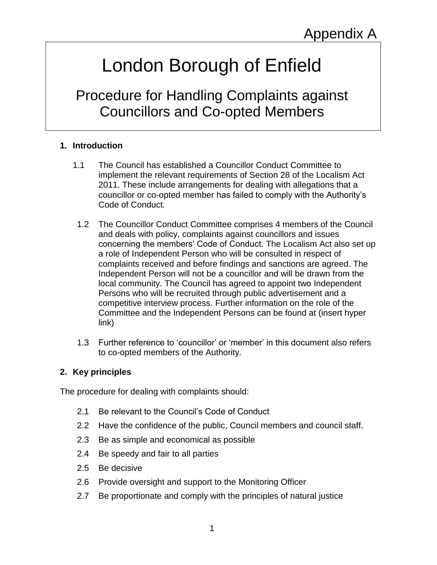# London Borough of Enfield

Procedure for Handling Complaints against Councillors and Co-opted Members

# **1. Introduction**

- 1.1 The Council has established a Councillor Conduct Committee to implement the relevant requirements of Section 28 of the Localism Act 2011. These include arrangements for dealing with allegations that a councillor or co-opted member has failed to comply with the Authority's Code of Conduct*.*
- 1.2 The Councillor Conduct Committee comprises 4 members of the Council and deals with policy, complaints against councillors and issues concerning the members' Code of Conduct. The Localism Act also set up a role of Independent Person who will be consulted in respect of complaints received and before findings and sanctions are agreed. The Independent Person will not be a councillor and will be drawn from the local community. The Council has agreed to appoint two Independent Persons who will be recruited through public advertisement and a competitive interview process. Further information on the role of the Committee and the Independent Persons can be found at (insert hyper link)
- 1.3 Further reference to 'councillor' or 'member' in this document also refers to co-opted members of the Authority.

#### **2. Key principles**

The procedure for dealing with complaints should:

- 2.1 Be relevant to the Council's Code of Conduct
- 2.2 Have the confidence of the public, Council members and council staff.
- 2.3 Be as simple and economical as possible
- 2.4 Be speedy and fair to all parties
- 2.5 Be decisive
- 2.6 Provide oversight and support to the Monitoring Officer
- 2.7 Be proportionate and comply with the principles of natural justice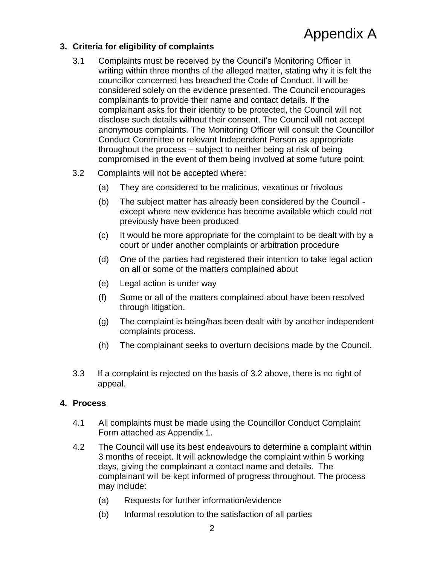# **3. Criteria for eligibility of complaints**

- 3.1 Complaints must be received by the Council's Monitoring Officer in writing within three months of the alleged matter, stating why it is felt the councillor concerned has breached the Code of Conduct. It will be considered solely on the evidence presented. The Council encourages complainants to provide their name and contact details. If the complainant asks for their identity to be protected, the Council will not disclose such details without their consent. The Council will not accept anonymous complaints. The Monitoring Officer will consult the Councillor Conduct Committee or relevant Independent Person as appropriate throughout the process – subject to neither being at risk of being compromised in the event of them being involved at some future point.
- 3.2 Complaints will not be accepted where:
	- (a) They are considered to be malicious, vexatious or frivolous
	- (b) The subject matter has already been considered by the Council except where new evidence has become available which could not previously have been produced
	- (c) It would be more appropriate for the complaint to be dealt with by a court or under another complaints or arbitration procedure
	- (d) One of the parties had registered their intention to take legal action on all or some of the matters complained about
	- (e) Legal action is under way
	- (f) Some or all of the matters complained about have been resolved through litigation.
	- (g) The complaint is being/has been dealt with by another independent complaints process.
	- (h) The complainant seeks to overturn decisions made by the Council.
- 3.3 If a complaint is rejected on the basis of 3.2 above, there is no right of appeal.

#### **4. Process**

- 4.1 All complaints must be made using the Councillor Conduct Complaint Form attached as Appendix 1.
- 4.2 The Council will use its best endeavours to determine a complaint within 3 months of receipt. It will acknowledge the complaint within 5 working days, giving the complainant a contact name and details. The complainant will be kept informed of progress throughout. The process may include:
	- (a) Requests for further information/evidence
	- (b) Informal resolution to the satisfaction of all parties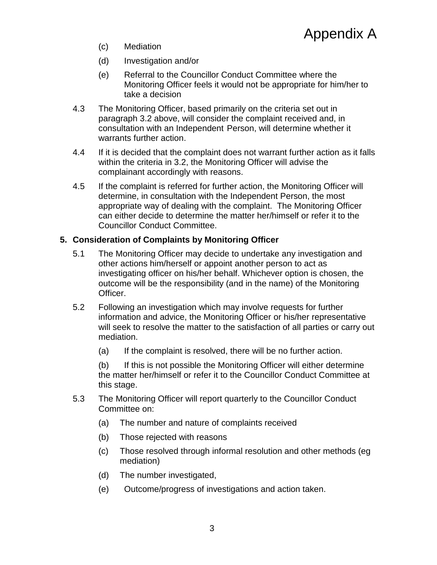- (c) Mediation
- (d) Investigation and/or
- (e) Referral to the Councillor Conduct Committee where the Monitoring Officer feels it would not be appropriate for him/her to take a decision
- 4.3 The Monitoring Officer, based primarily on the criteria set out in paragraph 3.2 above, will consider the complaint received and, in consultation with an Independent Person, will determine whether it warrants further action.
- 4.4 If it is decided that the complaint does not warrant further action as it falls within the criteria in 3.2, the Monitoring Officer will advise the complainant accordingly with reasons.
- 4.5 If the complaint is referred for further action, the Monitoring Officer will determine, in consultation with the Independent Person, the most appropriate way of dealing with the complaint. The Monitoring Officer can either decide to determine the matter her/himself or refer it to the Councillor Conduct Committee.

## **5. Consideration of Complaints by Monitoring Officer**

- 5.1 The Monitoring Officer may decide to undertake any investigation and other actions him/herself or appoint another person to act as investigating officer on his/her behalf. Whichever option is chosen, the outcome will be the responsibility (and in the name) of the Monitoring Officer.
- 5.2 Following an investigation which may involve requests for further information and advice, the Monitoring Officer or his/her representative will seek to resolve the matter to the satisfaction of all parties or carry out mediation.
	- (a) If the complaint is resolved, there will be no further action.

(b) If this is not possible the Monitoring Officer will either determine the matter her/himself or refer it to the Councillor Conduct Committee at this stage.

- 5.3 The Monitoring Officer will report quarterly to the Councillor Conduct Committee on:
	- (a) The number and nature of complaints received
	- (b) Those rejected with reasons
	- (c) Those resolved through informal resolution and other methods (eg mediation)
	- (d) The number investigated,
	- (e) Outcome/progress of investigations and action taken.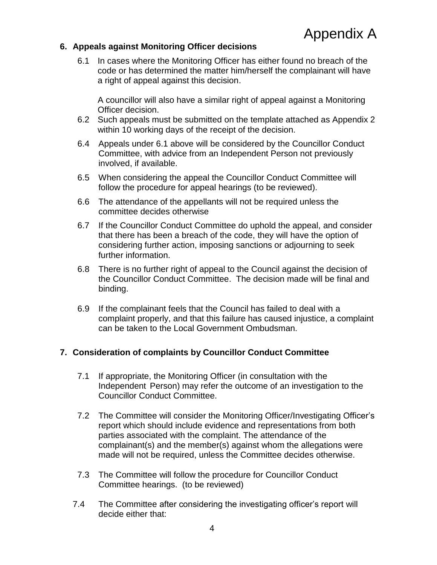## **6. Appeals against Monitoring Officer decisions**

6.1 In cases where the Monitoring Officer has either found no breach of the code or has determined the matter him/herself the complainant will have a right of appeal against this decision.

A councillor will also have a similar right of appeal against a Monitoring Officer decision.

- 6.2 Such appeals must be submitted on the template attached as Appendix 2 within 10 working days of the receipt of the decision.
- 6.4 Appeals under 6.1 above will be considered by the Councillor Conduct Committee, with advice from an Independent Person not previously involved, if available.
- 6.5 When considering the appeal the Councillor Conduct Committee will follow the procedure for appeal hearings (to be reviewed).
- 6.6 The attendance of the appellants will not be required unless the committee decides otherwise
- 6.7 If the Councillor Conduct Committee do uphold the appeal, and consider that there has been a breach of the code, they will have the option of considering further action, imposing sanctions or adjourning to seek further information.
- 6.8 There is no further right of appeal to the Council against the decision of the Councillor Conduct Committee. The decision made will be final and binding.
- 6.9 If the complainant feels that the Council has failed to deal with a complaint properly, and that this failure has caused injustice, a complaint can be taken to the Local Government Ombudsman.

#### **7. Consideration of complaints by Councillor Conduct Committee**

- 7.1 If appropriate, the Monitoring Officer (in consultation with the Independent Person) may refer the outcome of an investigation to the Councillor Conduct Committee.
- 7.2 The Committee will consider the Monitoring Officer/Investigating Officer's report which should include evidence and representations from both parties associated with the complaint. The attendance of the complainant(s) and the member(s) against whom the allegations were made will not be required, unless the Committee decides otherwise.
- 7.3 The Committee will follow the procedure for Councillor Conduct Committee hearings. (to be reviewed)
- 7.4 The Committee after considering the investigating officer's report will decide either that: